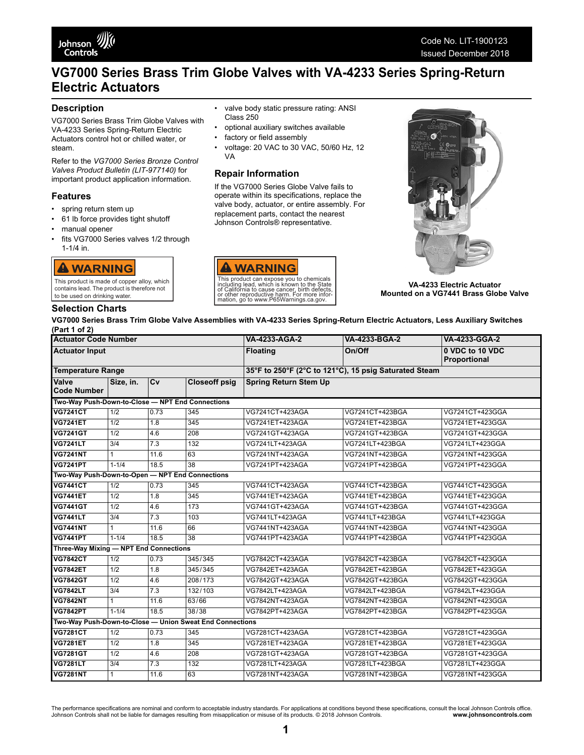

# **VG7000 Series Brass Trim Globe Valves with VA-4233 Series Spring-Return Electric Actuators**

## **Description**

VG7000 Series Brass Trim Globe Valves with VA-4233 Series Spring-Return Electric Actuators control hot or chilled water, or steam.

Refer to the *VG7000 Series Bronze Control Valves Product Bulletin (LIT-977140)* for important product application information.

### **Features**

- spring return stem up
- 61 lb force provides tight shutoff
- manual opener
- fits VG7000 Series valves 1/2 through 1-1/4 in.

# **A WARNING**

This product is made of copper alloy, which contains lead. The product is therefore not to be used on drinking water.

## **Selection Charts**

- valve body static pressure rating: ANSI Class 250
- optional auxiliary switches available
- factory or field assembly
- voltage: 20 VAC to 30 VAC, 50/60 Hz, 12 VA

## **Repair Information**

If the VG7000 Series Globe Valve fails to operate within its specifications, replace the valve body, actuator, or entire assembly. For replacement parts, contact the nearest Johnson Controls® representative.





**VA-4233 Electric Actuator Mounted on a VG7441 Brass Globe Valve**

**VG7000 Series Brass Trim Globe Valve Assemblies with VA-4233 Series Spring-Return Electric Actuators, Less Auxiliary Switches (Part 1 of 2)**

| <b>Actuator Code Number</b><br><b>Actuator Input</b>     |                                                  |      |                      | VA-4233-AGA-2                                         | VA-4233-BGA-2   | VA-4233-GGA-2                   |  |
|----------------------------------------------------------|--------------------------------------------------|------|----------------------|-------------------------------------------------------|-----------------|---------------------------------|--|
|                                                          |                                                  |      |                      | <b>Floating</b>                                       | On/Off          | 0 VDC to 10 VDC<br>Proportional |  |
| <b>Temperature Range</b>                                 |                                                  |      |                      | 35°F to 250°F (2°C to 121°C), 15 psig Saturated Steam |                 |                                 |  |
| Valve<br><b>Code Number</b>                              | Size, in.                                        | Cv   | <b>Closeoff psig</b> | <b>Spring Return Stem Up</b>                          |                 |                                 |  |
|                                                          | Two-Way Push-Down-to-Close - NPT End Connections |      |                      |                                                       |                 |                                 |  |
| <b>VG7241CT</b>                                          | 1/2                                              | 0.73 | 345                  | VG7241CT+423AGA                                       | VG7241CT+423BGA | VG7241CT+423GGA                 |  |
| <b>VG7241ET</b>                                          | 1/2                                              | 1.8  | 345                  | VG7241ET+423AGA                                       | VG7241ET+423BGA | VG7241ET+423GGA                 |  |
| <b>VG7241GT</b>                                          | 1/2                                              | 4.6  | 208                  | VG7241GT+423AGA                                       | VG7241GT+423BGA | VG7241GT+423GGA                 |  |
| <b>VG7241LT</b>                                          | 3/4                                              | 7.3  | 132                  | VG7241LT+423AGA                                       | VG7241LT+423BGA | VG7241LT+423GGA                 |  |
| <b>VG7241NT</b>                                          | $\mathbf{1}$                                     | 11.6 | 63                   | VG7241NT+423AGA                                       | VG7241NT+423BGA | VG7241NT+423GGA                 |  |
| <b>VG7241PT</b>                                          | $1 - 1/4$                                        | 18.5 | $\overline{38}$      | VG7241PT+423AGA                                       | VG7241PT+423BGA | VG7241PT+423GGA                 |  |
| Two-Way Push-Down-to-Open - NPT End Connections          |                                                  |      |                      |                                                       |                 |                                 |  |
| <b>VG7441CT</b>                                          | 1/2                                              | 0.73 | 345                  | VG7441CT+423AGA                                       | VG7441CT+423BGA | VG7441CT+423GGA                 |  |
| <b>VG7441ET</b>                                          | 1/2                                              | 1.8  | 345                  | VG7441ET+423AGA                                       | VG7441ET+423BGA | VG7441ET+423GGA                 |  |
| <b>VG7441GT</b>                                          | 1/2                                              | 4.6  | 173                  | VG7441GT+423AGA                                       | VG7441GT+423BGA | VG7441GT+423GGA                 |  |
| <b>VG7441LT</b>                                          | 3/4                                              | 7.3  | 103                  | VG7441LT+423AGA                                       | VG7441LT+423BGA | VG7441LT+423GGA                 |  |
| <b>VG7441NT</b>                                          | $\mathbf{1}$                                     | 11.6 | 66                   | VG7441NT+423AGA                                       | VG7441NT+423BGA | VG7441NT+423GGA                 |  |
| <b>VG7441PT</b>                                          | $1 - 1/4$                                        | 18.5 | $\overline{38}$      | VG7441PT+423AGA                                       | VG7441PT+423BGA | VG7441PT+423GGA                 |  |
|                                                          | Three-Way Mixing - NPT End Connections           |      |                      |                                                       |                 |                                 |  |
| <b>VG7842CT</b>                                          | 1/2                                              | 0.73 | 345/345              | VG7842CT+423AGA                                       | VG7842CT+423BGA | VG7842CT+423GGA                 |  |
| <b>VG7842ET</b>                                          | 1/2                                              | 1.8  | 345/345              | VG7842ET+423AGA                                       | VG7842ET+423BGA | VG7842ET+423GGA                 |  |
| <b>VG7842GT</b>                                          | 1/2                                              | 4.6  | 208/173              | VG7842GT+423AGA                                       | VG7842GT+423BGA | VG7842GT+423GGA                 |  |
| <b>VG7842LT</b>                                          | 3/4                                              | 7.3  | 132/103              | VG7842LT+423AGA                                       | VG7842LT+423BGA | VG7842LT+423GGA                 |  |
| <b>VG7842NT</b>                                          | $\mathbf{1}$                                     | 11.6 | 63/66                | VG7842NT+423AGA                                       | VG7842NT+423BGA | VG7842NT+423GGA                 |  |
| <b>VG7842PT</b>                                          | $1 - 1/4$                                        | 18.5 | 38/38                | VG7842PT+423AGA                                       | VG7842PT+423BGA | VG7842PT+423GGA                 |  |
| Two-Way Push-Down-to-Close - Union Sweat End Connections |                                                  |      |                      |                                                       |                 |                                 |  |
| <b>VG7281CT</b>                                          | 1/2                                              | 0.73 | 345                  | VG7281CT+423AGA                                       | VG7281CT+423BGA | VG7281CT+423GGA                 |  |
| <b>VG7281ET</b>                                          | 1/2                                              | 1.8  | 345                  | VG7281ET+423AGA                                       | VG7281ET+423BGA | VG7281ET+423GGA                 |  |
| <b>VG7281GT</b>                                          | 1/2                                              | 4.6  | 208                  | VG7281GT+423AGA                                       | VG7281GT+423BGA | VG7281GT+423GGA                 |  |
| <b>VG7281LT</b>                                          | $\overline{3/4}$                                 | 7.3  | 132                  | VG7281LT+423AGA                                       | VG7281LT+423BGA | VG7281LT+423GGA                 |  |
| <b>VG7281NT</b>                                          | $\mathbf{1}$                                     | 11.6 | 63                   | VG7281NT+423AGA                                       | VG7281NT+423BGA | VG7281NT+423GGA                 |  |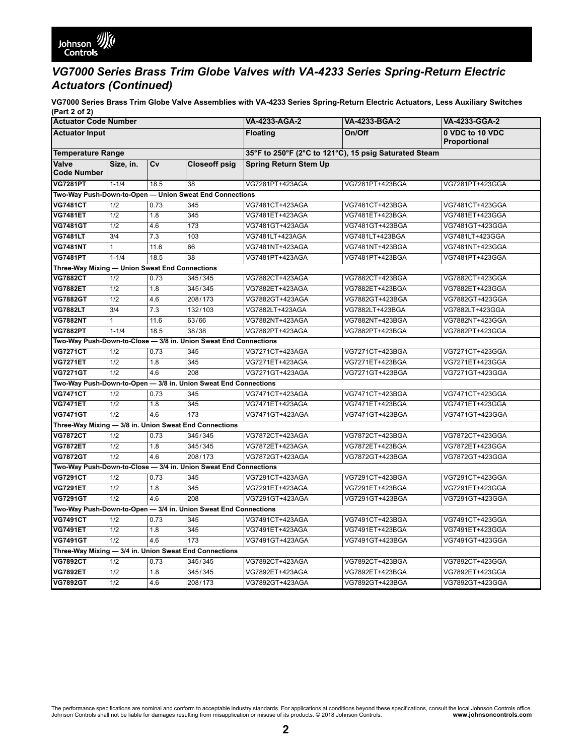

## *VG7000 Series Brass Trim Globe Valves with VA-4233 Series Spring-Return Electric Actuators (Continued)*

**VG7000 Series Brass Trim Globe Valve Assemblies with VA-4233 Series Spring-Return Electric Actuators, Less Auxiliary Switches (Part 2 of 2)**

| <b>Actuator Code Number</b>                                      |                  |      |                                                                  | VA-4233-AGA-2                                         | VA-4233-BGA-2   | VA-4233-GGA-2                   |  |
|------------------------------------------------------------------|------------------|------|------------------------------------------------------------------|-------------------------------------------------------|-----------------|---------------------------------|--|
| <b>Actuator Input</b>                                            |                  |      |                                                                  | <b>Floating</b>                                       | On/Off          | 0 VDC to 10 VDC<br>Proportional |  |
| <b>Temperature Range</b>                                         |                  |      |                                                                  | 35°F to 250°F (2°C to 121°C), 15 psig Saturated Steam |                 |                                 |  |
| Valve<br><b>Code Number</b>                                      | Size, in.        | Cv   | <b>Closeoff psig</b>                                             | <b>Spring Return Stem Up</b>                          |                 |                                 |  |
| <b>VG7281PT</b>                                                  | $1 - 1/4$        | 18.5 | 38                                                               | VG7281PT+423AGA                                       | VG7281PT+423BGA | VG7281PT+423GGA                 |  |
|                                                                  |                  |      | Two-Way Push-Down-to-Open - Union Sweat End Connections          |                                                       |                 |                                 |  |
| <b>VG7481CT</b>                                                  | 1/2              | 0.73 | 345                                                              | VG7481CT+423AGA                                       | VG7481CT+423BGA | VG7481CT+423GGA                 |  |
| <b>VG7481ET</b>                                                  | 1/2              | 1.8  | 345                                                              | VG7481ET+423AGA                                       | VG7481ET+423BGA | VG7481ET+423GGA                 |  |
| <b>VG7481GT</b>                                                  | 1/2              | 4.6  | 173                                                              | VG7481GT+423AGA                                       | VG7481GT+423BGA | VG7481GT+423GGA                 |  |
| <b>VG7481LT</b>                                                  | $\overline{3/4}$ | 7.3  | 103                                                              | VG7481LT+423AGA                                       | VG7481LT+423BGA | VG7481LT+423GGA                 |  |
| <b>VG7481NT</b>                                                  | 1                | 11.6 | 66                                                               | VG7481NT+423AGA                                       | VG7481NT+423BGA | VG7481NT+423GGA                 |  |
| <b>VG7481PT</b>                                                  | $1 - 1/4$        | 18.5 | 38                                                               | VG7481PT+423AGA                                       | VG7481PT+423BGA | VG7481PT+423GGA                 |  |
| Three-Way Mixing - Union Sweat End Connections                   |                  |      |                                                                  |                                                       |                 |                                 |  |
| <b>VG7882CT</b>                                                  | $\overline{1/2}$ | 0.73 | 345/345                                                          | VG7882CT+423AGA                                       | VG7882CT+423BGA | VG7882CT+423GGA                 |  |
| <b>VG7882ET</b>                                                  | $\overline{1/2}$ | 1.8  | 345/345                                                          | VG7882ET+423AGA                                       | VG7882ET+423BGA | VG7882ET+423GGA                 |  |
| <b>VG7882GT</b>                                                  | 1/2              | 4.6  | 208/173                                                          | VG7882GT+423AGA                                       | VG7882GT+423BGA | VG7882GT+423GGA                 |  |
| <b>VG7882LT</b>                                                  | $\overline{3/4}$ | 7.3  | 132/103                                                          | VG7882LT+423AGA                                       | VG7882LT+423BGA | VG7882LT+423GGA                 |  |
| <b>VG7882NT</b>                                                  | $\mathbf{1}$     | 11.6 | 63/66                                                            | VG7882NT+423AGA                                       | VG7882NT+423BGA | VG7882NT+423GGA                 |  |
| <b>VG7882PT</b>                                                  | $1 - 1/4$        | 18.5 | 38/38                                                            | VG7882PT+423AGA                                       | VG7882PT+423BGA | VG7882PT+423GGA                 |  |
|                                                                  |                  |      | Two-Way Push-Down-to-Close - 3/8 in. Union Sweat End Connections |                                                       |                 |                                 |  |
| <b>VG7271CT</b>                                                  | 1/2              | 0.73 | 345                                                              | VG7271CT+423AGA                                       | VG7271CT+423BGA | VG7271CT+423GGA                 |  |
| <b>VG7271ET</b>                                                  | 1/2              | 1.8  | 345                                                              | VG7271ET+423AGA                                       | VG7271ET+423BGA | VG7271ET+423GGA                 |  |
| <b>VG7271GT</b>                                                  | 1/2              | 4.6  | 208                                                              | VG7271GT+423AGA                                       | VG7271GT+423BGA | VG7271GT+423GGA                 |  |
|                                                                  |                  |      | Two-Way Push-Down-to-Open - 3/8 in. Union Sweat End Connections  |                                                       |                 |                                 |  |
| <b>VG7471CT</b>                                                  | 1/2              | 0.73 | 345                                                              | VG7471CT+423AGA                                       | VG7471CT+423BGA | VG7471CT+423GGA                 |  |
| <b>VG7471ET</b>                                                  | 1/2              | 1.8  | 345                                                              | VG7471ET+423AGA                                       | VG7471ET+423BGA | VG7471ET+423GGA                 |  |
| <b>VG7471GT</b>                                                  | 1/2              | 4.6  | 173                                                              | VG7471GT+423AGA                                       | VG7471GT+423BGA | VG7471GT+423GGA                 |  |
| Three-Way Mixing - 3/8 in. Union Sweat End Connections           |                  |      |                                                                  |                                                       |                 |                                 |  |
| <b>VG7872CT</b>                                                  | 1/2              | 0.73 | 345/345                                                          | VG7872CT+423AGA                                       | VG7872CT+423BGA | VG7872CT+423GGA                 |  |
| <b>VG7872ET</b>                                                  | 1/2              | 1.8  | 345/345                                                          | VG7872ET+423AGA                                       | VG7872ET+423BGA | VG7872ET+423GGA                 |  |
| <b>VG7872GT</b>                                                  | 1/2              | 4.6  | 208/173                                                          | VG7872GT+423AGA                                       | VG7872GT+423BGA | VG7872GT+423GGA                 |  |
| Two-Way Push-Down-to-Close - 3/4 in. Union Sweat End Connections |                  |      |                                                                  |                                                       |                 |                                 |  |
| <b>VG7291CT</b>                                                  | 1/2              | 0.73 | 345                                                              | VG7291CT+423AGA                                       | VG7291CT+423BGA | VG7291CT+423GGA                 |  |
| <b>VG7291ET</b>                                                  | 1/2              | 1.8  | 345                                                              | VG7291ET+423AGA                                       | VG7291ET+423BGA | VG7291ET+423GGA                 |  |
| <b>VG7291GT</b>                                                  | $\overline{1/2}$ | 4.6  | 208                                                              | VG7291GT+423AGA                                       | VG7291GT+423BGA | VG7291GT+423GGA                 |  |
| Two-Way Push-Down-to-Open - 3/4 in. Union Sweat End Connections  |                  |      |                                                                  |                                                       |                 |                                 |  |
| <b>VG7491CT</b>                                                  | 1/2              | 0.73 | 345                                                              | VG7491CT+423AGA                                       | VG7491CT+423BGA | VG7491CT+423GGA                 |  |
| <b>VG7491ET</b>                                                  | $\overline{1/2}$ | 1.8  | 345                                                              | VG7491ET+423AGA                                       | VG7491ET+423BGA | VG7491ET+423GGA                 |  |
| <b>VG7491GT</b>                                                  | 1/2              | 4.6  | 173                                                              | VG7491GT+423AGA                                       | VG7491GT+423BGA | VG7491GT+423GGA                 |  |
| Three-Way Mixing - 3/4 in. Union Sweat End Connections           |                  |      |                                                                  |                                                       |                 |                                 |  |
| <b>VG7892CT</b>                                                  | 1/2              | 0.73 | 345/345                                                          | VG7892CT+423AGA                                       | VG7892CT+423BGA | VG7892CT+423GGA                 |  |
| <b>VG7892ET</b>                                                  | 1/2              | 1.8  | 345/345                                                          | VG7892ET+423AGA                                       | VG7892ET+423BGA | VG7892ET+423GGA                 |  |
| <b>VG7892GT</b>                                                  | 1/2              | 4.6  | 208/173                                                          | VG7892GT+423AGA                                       | VG7892GT+423BGA | VG7892GT+423GGA                 |  |

The performance specifications are nominal and conform to acceptable industry standards. For applications at conditions beyond these specifications, consult the local Johnson Controls office.<br>Johnson Controls shall not be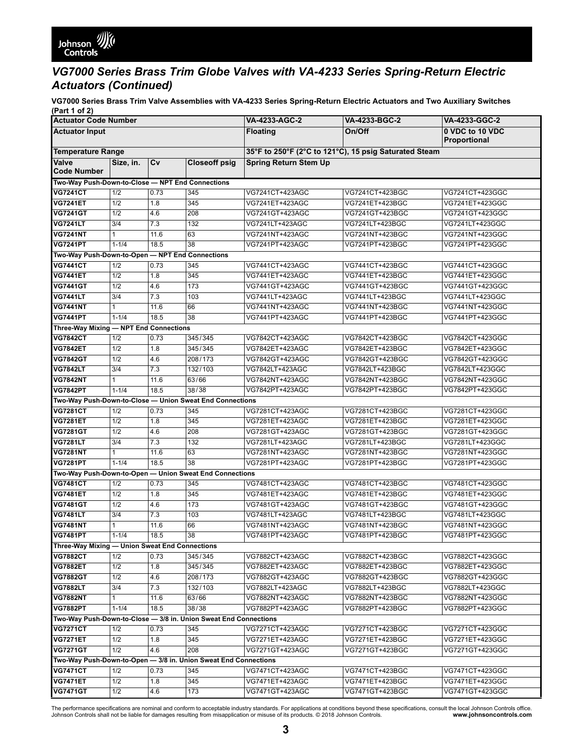# *VG7000 Series Brass Trim Globe Valves with VA-4233 Series Spring-Return Electric Actuators (Continued)*

**VG7000 Series Brass Trim Valve Assemblies with VA-4233 Series Spring-Return Electric Actuators and Two Auxiliary Switches (Part 1 of 2)**

| <b>Actuator Code Number</b>                                      |            |            |                      | VA-4233-AGC-2                                         | VA-4233-BGC-2                      | VA-4233-GGC-2                      |
|------------------------------------------------------------------|------------|------------|----------------------|-------------------------------------------------------|------------------------------------|------------------------------------|
| <b>Actuator Input</b>                                            |            |            |                      | <b>Floating</b>                                       | On/Off                             | 0 VDC to 10 VDC<br>Proportional    |
| <b>Temperature Range</b>                                         |            |            |                      | 35°F to 250°F (2°C to 121°C), 15 psig Saturated Steam |                                    |                                    |
| Valve<br><b>Code Number</b>                                      | Size, in.  | Cv         | <b>Closeoff psig</b> | <b>Spring Return Stem Up</b>                          |                                    |                                    |
| Two-Way Push-Down-to-Close - NPT End Connections                 |            |            |                      |                                                       |                                    |                                    |
| <b>VG7241CT</b>                                                  | 1/2        | 0.73       | 345                  | VG7241CT+423AGC                                       | VG7241CT+423BGC                    | VG7241CT+423GGC                    |
| <b>VG7241ET</b>                                                  | 1/2        | 1.8        | 345                  | VG7241ET+423AGC                                       | VG7241ET+423BGC                    | VG7241ET+423GGC                    |
| <b>VG7241GT</b>                                                  | 1/2        | 4.6        | 208                  | VG7241GT+423AGC                                       | VG7241GT+423BGC                    | VG7241GT+423GGC                    |
| <b>VG7241LT</b>                                                  | 3/4        | 7.3        | 132                  | VG7241LT+423AGC                                       | VG7241LT+423BGC                    | VG7241LT+423GGC                    |
| <b>VG7241NT</b>                                                  | 1          | 11.6       | 63                   | VG7241NT+423AGC                                       | VG7241NT+423BGC                    | VG7241NT+423GGC                    |
| <b>VG7241PT</b>                                                  | $1 - 1/4$  | 18.5       | 38                   | VG7241PT+423AGC                                       | VG7241PT+423BGC                    | VG7241PT+423GGC                    |
| Two-Way Push-Down-to-Open - NPT End Connections                  |            |            |                      |                                                       |                                    |                                    |
| <b>VG7441CT</b>                                                  | 1/2        | 0.73       | 345                  | VG7441CT+423AGC                                       | VG7441CT+423BGC                    | VG7441CT+423GGC                    |
| <b>VG7441ET</b>                                                  | 1/2        | 1.8        | 345                  | VG7441ET+423AGC                                       | VG7441ET+423BGC                    | VG7441ET+423GGC                    |
| <b>VG7441GT</b>                                                  | 1/2        | 4.6        | 173                  | VG7441GT+423AGC                                       | VG7441GT+423BGC                    | VG7441GT+423GGC                    |
| <b>VG7441LT</b>                                                  | 3/4        | 7.3        | 103                  | VG7441LT+423AGC                                       | VG7441LT+423BGC                    | VG7441LT+423GGC                    |
| <b>VG7441NT</b>                                                  | 1          | 11.6       | 66                   | VG7441NT+423AGC                                       | VG7441NT+423BGC                    | VG7441NT+423GGC                    |
| <b>VG7441PT</b>                                                  | $1 - 1/4$  | 18.5       | 38                   | VG7441PT+423AGC                                       | VG7441PT+423BGC                    | VG7441PT+423GGC                    |
| Three-Way Mixing - NPT End Connections                           |            |            |                      |                                                       |                                    |                                    |
| <b>VG7842CT</b>                                                  | 1/2        | 0.73       | 345/345              | VG7842CT+423AGC                                       | VG7842CT+423BGC                    | VG7842CT+423GGC                    |
| <b>VG7842ET</b>                                                  | 1/2        | 1.8        | 345/345              | VG7842ET+423AGC                                       | VG7842ET+423BGC                    | VG7842ET+423GGC                    |
| <b>VG7842GT</b>                                                  | 1/2        | 4.6        | 208/173              | VG7842GT+423AGC                                       | VG7842GT+423BGC                    | VG7842GT+423GGC                    |
| <b>VG7842LT</b>                                                  | 3/4        | 7.3        | 132/103              | VG7842LT+423AGC                                       | VG7842LT+423BGC                    | VG7842LT+423GGC                    |
| <b>VG7842NT</b>                                                  | 1          | 11.6       | 63/66                | VG7842NT+423AGC                                       | VG7842NT+423BGC                    | VG7842NT+423GGC                    |
| <b>VG7842PT</b>                                                  | $1 - 1/4$  | 18.5       | 38/38                | VG7842PT+423AGC                                       | VG7842PT+423BGC                    | VG7842PT+423GGC                    |
| Two-Way Push-Down-to-Close - Union Sweat End Connections         |            |            |                      |                                                       |                                    |                                    |
| <b>VG7281CT</b>                                                  | 1/2        | 0.73       | 345                  | VG7281CT+423AGC                                       | VG7281CT+423BGC                    | VG7281CT+423GGC                    |
| <b>VG7281ET</b>                                                  | 1/2        | 1.8        | 345                  | VG7281ET+423AGC                                       | VG7281ET+423BGC                    | VG7281ET+423GGC                    |
| <b>VG7281GT</b>                                                  | 1/2        | 4.6        | 208                  | VG7281GT+423AGC                                       | VG7281GT+423BGC                    | VG7281GT+423GGC                    |
| <b>VG7281LT</b>                                                  | 3/4        | 7.3        | 132                  | VG7281LT+423AGC                                       | VG7281LT+423BGC                    | VG7281LT+423GGC                    |
| <b>VG7281NT</b>                                                  | 1          | 11.6       | 63                   | VG7281NT+423AGC                                       | VG7281NT+423BGC                    | VG7281NT+423GGC                    |
| <b>VG7281PT</b>                                                  | $1 - 1/4$  | 18.5       | 38                   | VG7281PT+423AGC                                       | VG7281PT+423BGC                    | VG7281PT+423GGC                    |
| Two-Way Push-Down-to-Open - Union Sweat End Connections          |            |            |                      |                                                       |                                    |                                    |
| <b>VG7481CT</b><br><b>VG7481ET</b>                               | 1/2        | 0.73       | 345                  | VG7481CT+423AGC                                       | VG7481CT+423BGC                    | VG7481CT+423GGC                    |
| <b>VG7481GT</b>                                                  | 1/2        | 1.8        | 345                  | VG7481ET+423AGC                                       | VG7481ET+423BGC                    | VG7481ET+423GGC                    |
| <b>VG7481LT</b>                                                  | 1/2<br>3/4 | 4.6<br>7.3 | 173<br>103           | VG7481GT+423AGC<br>VG7481LT+423AGC                    | VG7481GT+423BGC<br>VG7481LT+423BGC | VG7481GT+423GGC<br>VG7481LT+423GGC |
| <b>VG7481NT</b>                                                  | 1          | 11.6       | 66                   | VG7481NT+423AGC                                       | VG7481NT+423BGC                    | VG7481NT+423GGC                    |
| <b>VG7481PT</b>                                                  | $1 - 1/4$  | 18.5       | 38                   | VG7481PT+423AGC                                       | VG7481PT+423BGC                    | VG7481PT+423GGC                    |
| Three-Way Mixing - Union Sweat End Connections                   |            |            |                      |                                                       |                                    |                                    |
| <b>VG7882CT</b>                                                  | 1/2        | 0.73       | 345/345              | VG7882CT+423AGC                                       | VG7882CT+423BGC                    | VG7882CT+423GGC                    |
| <b>VG7882ET</b>                                                  | 1/2        | 1.8        | 345/345              | VG7882ET+423AGC                                       | VG7882ET+423BGC                    | VG7882ET+423GGC                    |
| <b>VG7882GT</b>                                                  | 1/2        | 4.6        | 208/173              | VG7882GT+423AGC                                       | VG7882GT+423BGC                    | VG7882GT+423GGC                    |
| <b>VG7882LT</b>                                                  | 3/4        | 7.3        | 132/103              | VG7882LT+423AGC                                       | VG7882LT+423BGC                    | VG7882LT+423GGC                    |
| <b>VG7882NT</b>                                                  | 1          | 11.6       | 63/66                | VG7882NT+423AGC                                       | VG7882NT+423BGC                    | VG7882NT+423GGC                    |
| <b>VG7882PT</b>                                                  | $1 - 1/4$  | 18.5       | 38/38                | VG7882PT+423AGC                                       | VG7882PT+423BGC                    | VG7882PT+423GGC                    |
| Two-Way Push-Down-to-Close - 3/8 in. Union Sweat End Connections |            |            |                      |                                                       |                                    |                                    |
| <b>VG7271CT</b>                                                  | 1/2        | 0.73       | 345                  | VG7271CT+423AGC                                       | VG7271CT+423BGC                    | VG7271CT+423GGC                    |
| <b>VG7271ET</b>                                                  | 1/2        | 1.8        | 345                  | VG7271ET+423AGC                                       | VG7271ET+423BGC                    | VG7271ET+423GGC                    |
| <b>VG7271GT</b>                                                  | 1/2        | 4.6        | 208                  | VG7271GT+423AGC                                       | VG7271GT+423BGC                    | VG7271GT+423GGC                    |
| Two-Way Push-Down-to-Open - 3/8 in. Union Sweat End Connections  |            |            |                      |                                                       |                                    |                                    |
| <b>VG7471CT</b>                                                  | 1/2        | 0.73       | 345                  | VG7471CT+423AGC                                       | VG7471CT+423BGC                    | VG7471CT+423GGC                    |
| <b>VG7471ET</b>                                                  | 1/2        | 1.8        | 345                  | VG7471ET+423AGC                                       | VG7471ET+423BGC                    | VG7471ET+423GGC                    |
| <b>VG7471GT</b>                                                  | 1/2        | 4.6        | 173                  | VG7471GT+423AGC                                       | VG7471GT+423BGC                    | VG7471GT+423GGC                    |
|                                                                  |            |            |                      |                                                       |                                    |                                    |

The performance specifications are nominal and conform to acceptable industry standards. For applications at conditions beyond these specifications, consult the local Johnson Controls office.<br>Johnson Controls shall not be